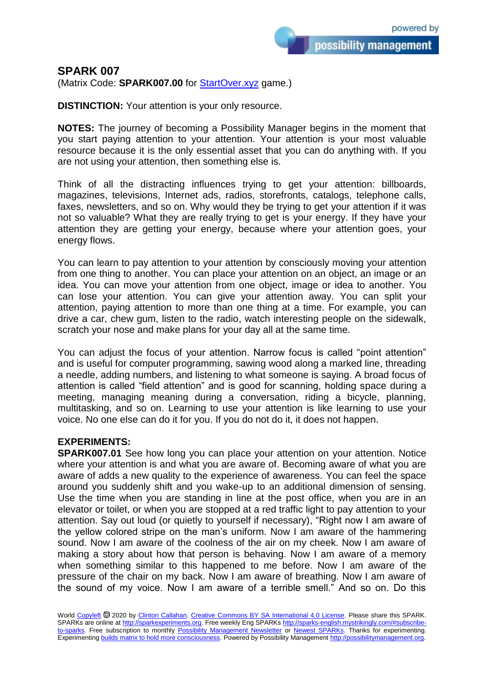possibility management

## **SPARK 007**

(Matrix Code: **SPARK007.00** for **StartOver.xyz** game.)

**DISTINCTION:** Your attention is your only resource.

**NOTES:** The journey of becoming a Possibility Manager begins in the moment that you start paying attention to your attention. Your attention is your most valuable resource because it is the only essential asset that you can do anything with. If you are not using your attention, then something else is.

Think of all the distracting influences trying to get your attention: billboards, magazines, televisions, Internet ads, radios, storefronts, catalogs, telephone calls, faxes, newsletters, and so on. Why would they be trying to get your attention if it was not so valuable? What they are really trying to get is your energy. If they have your attention they are getting your energy, because where your attention goes, your energy flows.

You can learn to pay attention to your attention by consciously moving your attention from one thing to another. You can place your attention on an object, an image or an idea. You can move your attention from one object, image or idea to another. You can lose your attention. You can give your attention away. You can split your attention, paying attention to more than one thing at a time. For example, you can drive a car, chew gum, listen to the radio, watch interesting people on the sidewalk, scratch your nose and make plans for your day all at the same time.

You can adjust the focus of your attention. Narrow focus is called "point attention" and is useful for computer programming, sawing wood along a marked line, threading a needle, adding numbers, and listening to what someone is saying. A broad focus of attention is called "field attention" and is good for scanning, holding space during a meeting, managing meaning during a conversation, riding a bicycle, planning, multitasking, and so on. Learning to use your attention is like learning to use your voice. No one else can do it for you. If you do not do it, it does not happen.

## **EXPERIMENTS:**

**SPARK007.01** See how long you can place your attention on your attention. Notice where your attention is and what you are aware of. Becoming aware of what you are aware of adds a new quality to the experience of awareness. You can feel the space around you suddenly shift and you wake-up to an additional dimension of sensing. Use the time when you are standing in line at the post office, when you are in an elevator or toilet, or when you are stopped at a red traffic light to pay attention to your attention. Say out loud (or quietly to yourself if necessary), "Right now I am aware of the yellow colored stripe on the man's uniform. Now I am aware of the hammering sound. Now I am aware of the coolness of the air on my cheek. Now I am aware of making a story about how that person is behaving. Now I am aware of a memory when something similar to this happened to me before. Now I am aware of the pressure of the chair on my back. Now I am aware of breathing. Now I am aware of the sound of my voice. Now I am aware of a terrible smell." And so on. Do this